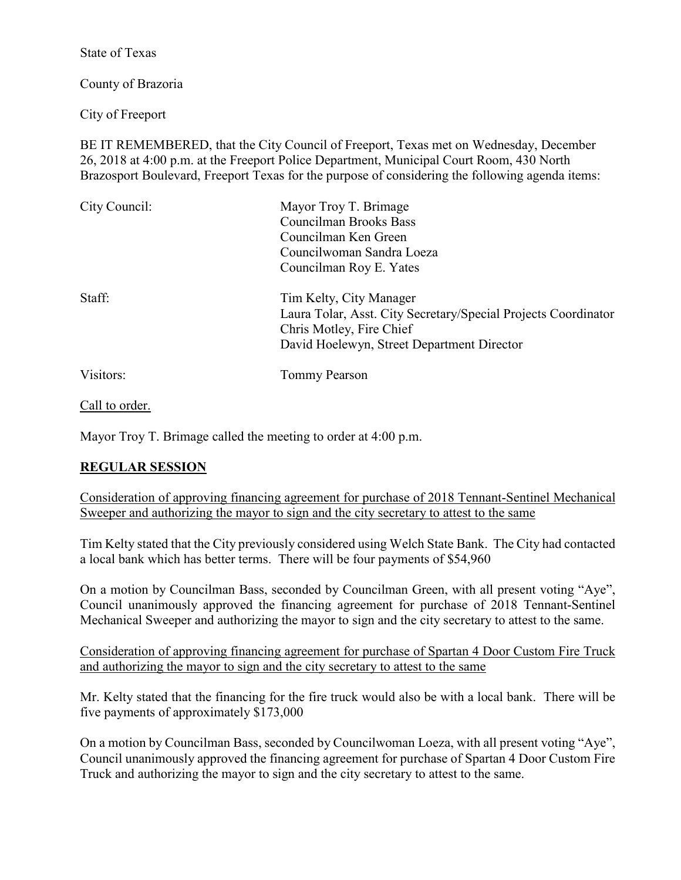State of Texas

County of Brazoria

City of Freeport

BE IT REMEMBERED, that the City Council of Freeport, Texas met on Wednesday, December 26, 2018 at 4:00 p.m. at the Freeport Police Department, Municipal Court Room, 430 North Brazosport Boulevard, Freeport Texas for the purpose of considering the following agenda items:

| City Council: | Mayor Troy T. Brimage                                          |
|---------------|----------------------------------------------------------------|
|               | Councilman Brooks Bass                                         |
|               | Councilman Ken Green                                           |
|               | Councilwoman Sandra Loeza                                      |
|               | Councilman Roy E. Yates                                        |
| Staff:        | Tim Kelty, City Manager                                        |
|               | Laura Tolar, Asst. City Secretary/Special Projects Coordinator |
|               | Chris Motley, Fire Chief                                       |
|               | David Hoelewyn, Street Department Director                     |
| Visitors:     | Tommy Pearson                                                  |

Call to order.

Mayor Troy T. Brimage called the meeting to order at 4:00 p.m.

## **REGULAR SESSION**

Consideration of approving financing agreement for purchase of 2018 Tennant-Sentinel Mechanical Sweeper and authorizing the mayor to sign and the city secretary to attest to the same

Tim Kelty stated that the City previously considered using Welch State Bank. The City had contacted a local bank which has better terms. There will be four payments of \$54,960

On a motion by Councilman Bass, seconded by Councilman Green, with all present voting "Aye", Council unanimously approved the financing agreement for purchase of 2018 Tennant-Sentinel Mechanical Sweeper and authorizing the mayor to sign and the city secretary to attest to the same.

Consideration of approving financing agreement for purchase of Spartan 4 Door Custom Fire Truck and authorizing the mayor to sign and the city secretary to attest to the same

Mr. Kelty stated that the financing for the fire truck would also be with a local bank. There will be five payments of approximately \$173,000

On a motion by Councilman Bass, seconded by Councilwoman Loeza, with all present voting "Aye", Council unanimously approved the financing agreement for purchase of Spartan 4 Door Custom Fire Truck and authorizing the mayor to sign and the city secretary to attest to the same.